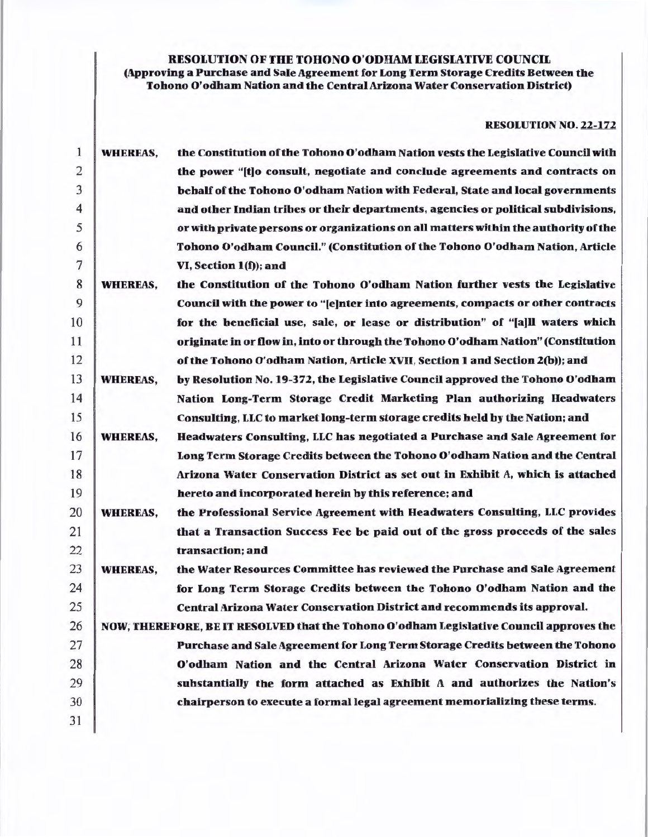# RESOLUTION OF THE TOHONO O'ODHAM LEGISLATIVE COUNCIL

## (Approving a Purchase and Sale Agreement for Long Term Storage Credits Between the Tobono O'odbam Nation and the Central Arizona Water Conservation District)

## RESOLUTION NO. 22-172

| $\mathbf{1}$   | <b>WHEREAS,</b>                                                                         | the Constitution of the Tohono O'odham Nation vests the Legislative Council with    |  |  |  |  |
|----------------|-----------------------------------------------------------------------------------------|-------------------------------------------------------------------------------------|--|--|--|--|
| $\overline{c}$ |                                                                                         | the power "[t]o consult, negotiate and conclude agreements and contracts on         |  |  |  |  |
| 3              |                                                                                         | behalf of the Tohono O'odham Nation with Federal, State and local governments       |  |  |  |  |
| $\overline{4}$ |                                                                                         | and other Indian tribes or their departments, agencies or political subdivisions,   |  |  |  |  |
| 5              |                                                                                         | or with private persons or organizations on all matters within the authority of the |  |  |  |  |
| 6              |                                                                                         | Tohono O'odham Council." (Constitution of the Tohono O'odham Nation, Article        |  |  |  |  |
| 7              |                                                                                         | VI, Section 1(f)); and                                                              |  |  |  |  |
| 8              | <b>WHEREAS,</b>                                                                         | the Constitution of the Tohono O'odham Nation further vests the Legislative         |  |  |  |  |
| 9              |                                                                                         | Council with the power to "[e]nter into agreements, compacts or other contracts     |  |  |  |  |
| 10             |                                                                                         | for the beneficial use, sale, or lease or distribution" of "[a]ll waters which      |  |  |  |  |
| 11             |                                                                                         | originate in or flow in, into or through the Tohono O'odham Nation" (Constitution   |  |  |  |  |
| 12             |                                                                                         | of the Tohono O'odham Nation, Article XVII, Section 1 and Section 2(b)); and        |  |  |  |  |
| 13             | <b>WHEREAS,</b>                                                                         | by Resolution No. 19-372, the Legislative Council approved the Tohono O'odham       |  |  |  |  |
| 14             |                                                                                         | Nation Long-Term Storage Credit Marketing Plan authorizing Headwaters               |  |  |  |  |
| 15             |                                                                                         | Consulting, LLC to market long-term storage credits held by the Nation; and         |  |  |  |  |
| 16             | <b>WHEREAS,</b>                                                                         | Headwaters Consulting, LLC has negotiated a Purchase and Sale Agreement for         |  |  |  |  |
| 17             |                                                                                         | Long Term Storage Credits between the Tohono O'odham Nation and the Central         |  |  |  |  |
| 18             |                                                                                         | Arizona Water Conservation District as set out in Exhibit A, which is attached      |  |  |  |  |
| 19             |                                                                                         | hereto and incorporated herein by this reference; and                               |  |  |  |  |
| 20             | <b>WHEREAS,</b>                                                                         | the Professional Service Agreement with Headwaters Consulting, LLC provides         |  |  |  |  |
| 21             |                                                                                         | that a Transaction Success Fee be paid out of the gross proceeds of the sales       |  |  |  |  |
| 22             |                                                                                         | transaction; and                                                                    |  |  |  |  |
| 23             | <b>WHEREAS,</b>                                                                         | the Water Resources Committee has reviewed the Purchase and Sale Agreement          |  |  |  |  |
| 24             |                                                                                         | for Long Term Storage Credits between the Tohono O'odham Nation and the             |  |  |  |  |
| 25             |                                                                                         | Central Arizona Water Conservation District and recommends its approval.            |  |  |  |  |
| 26             | NOW, THEREFORE, BE IT RESOLVED that the Tohono O'odham Legislative Council approves the |                                                                                     |  |  |  |  |
| 27             |                                                                                         | Purchase and Sale Agreement for Long Term Storage Credits between the Tohono        |  |  |  |  |
| 28             |                                                                                         | O'odham Nation and the Central Arizona Water Conservation District in               |  |  |  |  |
| 29             |                                                                                         | substantially the form attached as Exhibit $\Lambda$ and authorizes the Nation's    |  |  |  |  |
| 30             |                                                                                         | chairperson to execute a formal legal agreement memorializing these terms.          |  |  |  |  |
| 31             |                                                                                         |                                                                                     |  |  |  |  |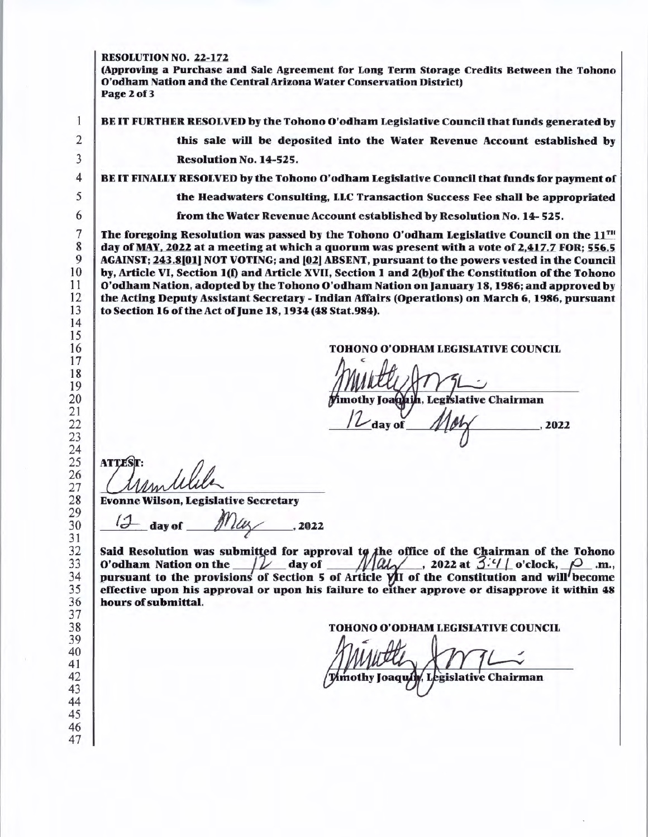### RESOLUTION NO. 22-172

(Approving a Purchase and Sale Agreement for Long Term Storage Credits Between the Tohono O'odham Nation and the Central Arizona Water Conservation District) Page 2 of 3

BE IT FURTHER RESOLVED by the Tohono O' odham Legislative Council that funds generated by

 

this sale will be deposited into the Water Revenue Account established by Resolution No. 14-525.

BE IT FINALLY RESOLVED by the Tohono O'odham Legislative Council that funds for payment of

the Headwaters Consulting, LLC Transaction Success Fee shall be appropriated

from the Water Revenue Account established by Resolution No. 14- 525.

The foregoing Resolution was passed by the Tohono O'odham Legislative Council on the  $11<sup>TH</sup>$ day of MAY, 2022 at a meeting at which a quorum was present with a vote of 2,417.7 FOR; 556.5 AGAINST; 243.8(01) NOT VOTING; and (02] ABSENT, pursuant to the powers vested in the Council by, Article VI, Section 1(f) and Article XVII, Section 1 and 2(b) of the Constitution of the Tohono O'odham Nation, adopted by the Tohono O'odham Nation on January 18, 1986; and approved by the Acting Deputy Assistant Secretary - Indian Affairs (Operations) on March 6 , 1986, pursuant to Section 16 of the Act of June 18, 1934 (48 Stat.984).

TOHONO O'ODHAM LEGISLATIVE COUNCIL

lative Chairman if"( , <sup>2022</sup> day of

**ATTEST:** 

Evonne Wilson, Legislative Secretary

 $-$  day of  $1/\ell\ll 1$ , 2022

Said Resolution was submitted for approval to the office of the Chairman of the Tohono O'odham Nation on the  $n\lambda$  day of  $M/d\lambda$ , 2022 at  $3\frac{3\cdot4}{2}$  o'clock,  $\beta$  .m., pursuant to the provisions of Section 5 of Article VII of the Constitution and will become effective upon his approval or upon his failure to either approve or disapprove it within 48 hours of submittal.

TOHONO O'ODHAM LEGISLATIVE COUNCIL

mothy Joaquily Legislative Chairman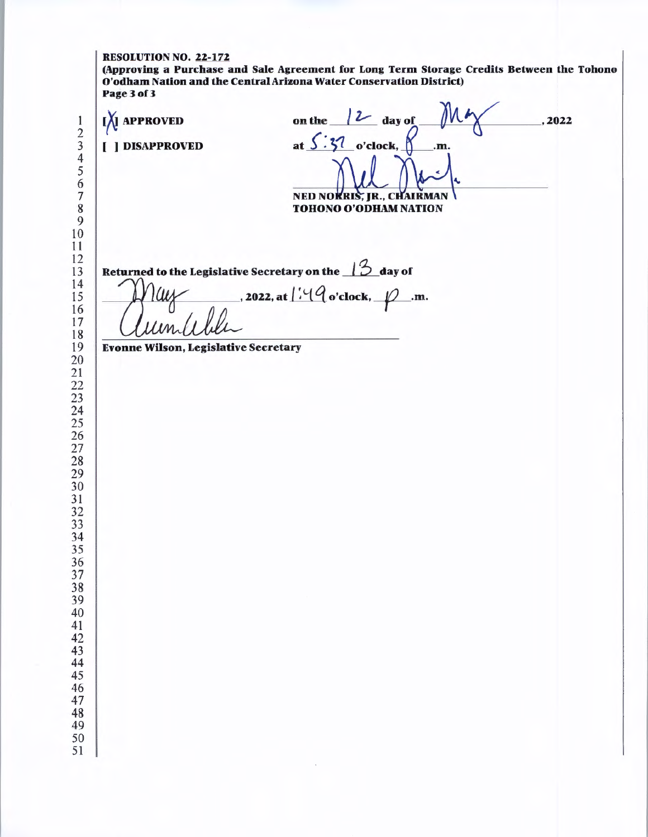(Approving a Purchase and Sale Agreement for Long Term Storage Credits Between the Tohono O'odham Nation and the Central Arizona Water Conservation District) Page3of3

on the  $/2$  day of **I** APPROVED , 2022 at  $\frac{\sqrt{37}}{20}$  o'clock,  $\frac{\sqrt{27}}{10}$ .m. [ ) DISAPPROVED NED NORRIS, JR., CHAIRMAN **TOHONO O'ODHAM NATION**  Returned to the Legislative Secretary on the  $/3$  day of  $-$ , 2022, at  $\frac{1}{1}$  q o'clock,  $\overline{p}$  .m. Evonne Wilson, Legislative Secretary